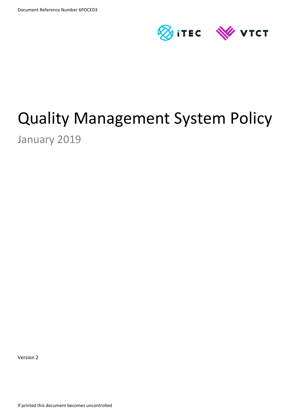

# Quality Management System Policy

January 2019

Version 2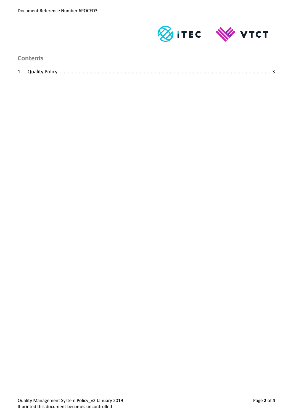

**Contents**

| $\overline{ }$<br>τ. | <b>Duality</b><br>וונז |  |
|----------------------|------------------------|--|
|                      |                        |  |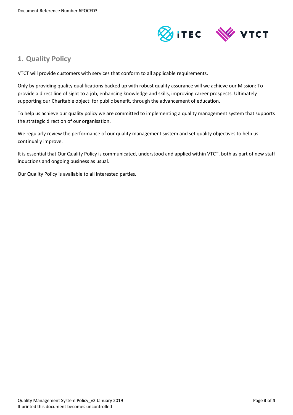

# <span id="page-2-0"></span>**1. Quality Policy**

VTCT will provide customers with services that conform to all applicable requirements.

Only by providing quality qualifications backed up with robust quality assurance will we achieve our Mission: To provide a direct line of sight to a job, enhancing knowledge and skills, improving career prospects. Ultimately supporting our Charitable object: for public benefit, through the advancement of education.

To help us achieve our quality policy we are committed to implementing a quality management system that supports the strategic direction of our organisation.

We regularly review the performance of our quality management system and set quality objectives to help us continually improve.

It is essential that Our Quality Policy is communicated, understood and applied within VTCT, both as part of new staff inductions and ongoing business as usual.

Our Quality Policy is available to all interested parties.